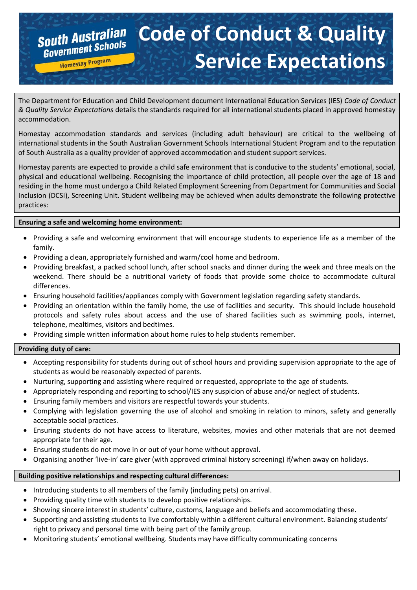# **South Australian Code of Conduct & Quality COUTH AUSTRITUDE Service ExpectationsHomestay Program**

The Department for Education and Child Development document International Education Services (IES) *Code of Conduct & Quality Service Expectations* details the standards required for all international students placed in approved homestay accommodation.

Homestay accommodation standards and services (including adult behaviour) are critical to the wellbeing of international students in the South Australian Government Schools International Student Program and to the reputation of South Australia as a quality provider of approved accommodation and student support services.

Homestay parents are expected to provide a child safe environment that is conducive to the students' emotional, social, physical and educational wellbeing. Recognising the importance of child protection, all people over the age of 18 and residing in the home must undergo a Child Related Employment Screening from Department for Communities and Social Inclusion (DCSI), Screening Unit. Student wellbeing may be achieved when adults demonstrate the following protective practices:

## **Ensuring a safe and welcoming home environment:**

- Providing a safe and welcoming environment that will encourage students to experience life as a member of the family.
- Providing a clean, appropriately furnished and warm/cool home and bedroom.
- Providing breakfast, a packed school lunch, after school snacks and dinner during the week and three meals on the weekend. There should be a nutritional variety of foods that provide some choice to accommodate cultural differences.
- Ensuring household facilities/appliances comply with Government legislation regarding safety standards.
- Providing an orientation within the family home, the use of facilities and security. This should include household protocols and safety rules about access and the use of shared facilities such as swimming pools, internet, telephone, mealtimes, visitors and bedtimes.
- Providing simple written information about home rules to help students remember.

## **Providing duty of care:**

- Accepting responsibility for students during out of school hours and providing supervision appropriate to the age of students as would be reasonably expected of parents.
- Nurturing, supporting and assisting where required or requested, appropriate to the age of students.
- Appropriately responding and reporting to school/IES any suspicion of abuse and/or neglect of students.
- Ensuring family members and visitors are respectful towards your students.
- Complying with legislation governing the use of alcohol and smoking in relation to minors, safety and generally acceptable social practices.
- Ensuring students do not have access to literature, websites, movies and other materials that are not deemed appropriate for their age.
- Ensuring students do not move in or out of your home without approval.
- Organising another 'live-in' care giver (with approved criminal history screening) if/when away on holidays.

## **Building positive relationships and respecting cultural differences:**

- Introducing students to all members of the family (including pets) on arrival.
- Providing quality time with students to develop positive relationships.
- Showing sincere interest in students' culture, customs, language and beliefs and accommodating these.
- Supporting and assisting students to live comfortably within a different cultural environment. Balancing students' right to privacy and personal time with being part of the family group.
- Monitoring students' emotional wellbeing. Students may have difficulty communicating concerns